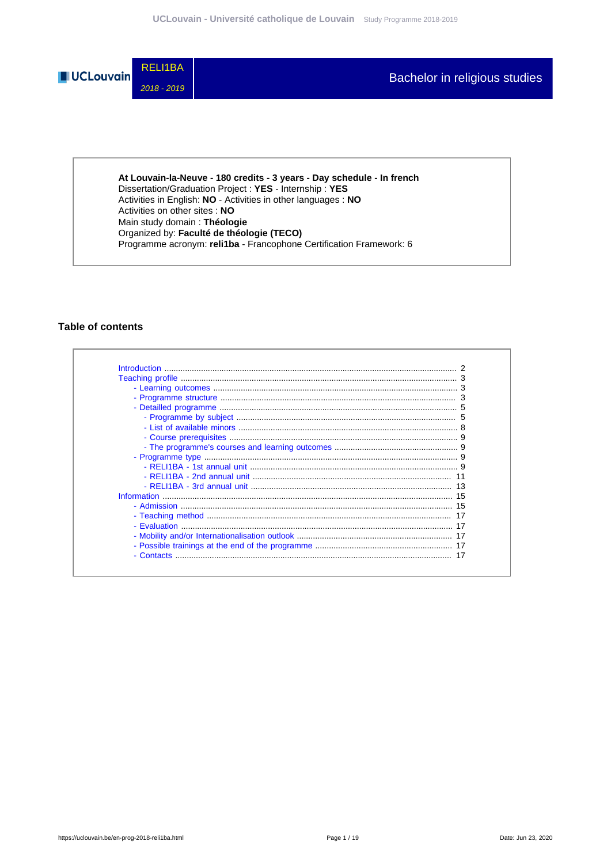

At Louvain-la-Neuve - 180 credits - 3 years - Day schedule - In french Dissertation/Graduation Project : YES - Internship : YES<br>Activities in English: NO - Activities in other languages : NO Activities on other sites : NO Main study domain: Théologie Organized by: Faculté de théologie (TECO) Programme acronym: reli1ba - Francophone Certification Framework: 6

# **Table of contents**

| <b>Introduction</b> |  |
|---------------------|--|
|                     |  |
|                     |  |
|                     |  |
|                     |  |
|                     |  |
|                     |  |
|                     |  |
|                     |  |
|                     |  |
|                     |  |
|                     |  |
|                     |  |
| Information         |  |
|                     |  |
|                     |  |
|                     |  |
|                     |  |
|                     |  |
|                     |  |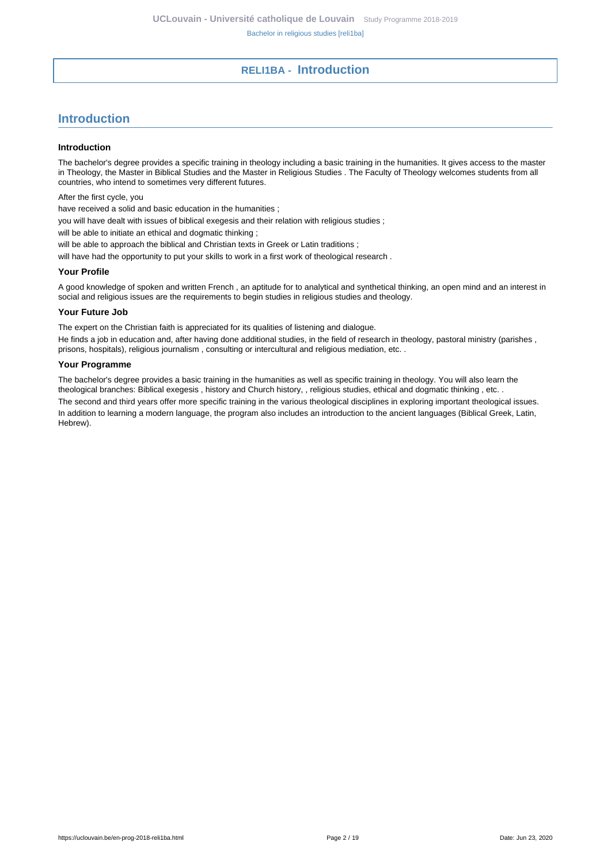# **RELI1BA - Introduction**

# <span id="page-1-0"></span>**Introduction**

#### **Introduction**

The bachelor's degree provides a specific training in theology including a basic training in the humanities. It gives access to the master in Theology, the Master in Biblical Studies and the Master in Religious Studies . The Faculty of Theology welcomes students from all countries, who intend to sometimes very different futures.

After the first cycle, you

have received a solid and basic education in the humanities ;

you will have dealt with issues of biblical exegesis and their relation with religious studies ;

will be able to initiate an ethical and dogmatic thinking :

will be able to approach the biblical and Christian texts in Greek or Latin traditions ;

will have had the opportunity to put your skills to work in a first work of theological research.

#### **Your Profile**

A good knowledge of spoken and written French , an aptitude for to analytical and synthetical thinking, an open mind and an interest in social and religious issues are the requirements to begin studies in religious studies and theology.

#### **Your Future Job**

The expert on the Christian faith is appreciated for its qualities of listening and dialogue.

He finds a job in education and, after having done additional studies, in the field of research in theology, pastoral ministry (parishes , prisons, hospitals), religious journalism , consulting or intercultural and religious mediation, etc. .

#### **Your Programme**

The bachelor's degree provides a basic training in the humanities as well as specific training in theology. You will also learn the theological branches: Biblical exegesis , history and Church history, , religious studies, ethical and dogmatic thinking , etc. .

The second and third years offer more specific training in the various theological disciplines in exploring important theological issues. In addition to learning a modern language, the program also includes an introduction to the ancient languages (Biblical Greek, Latin, Hebrew).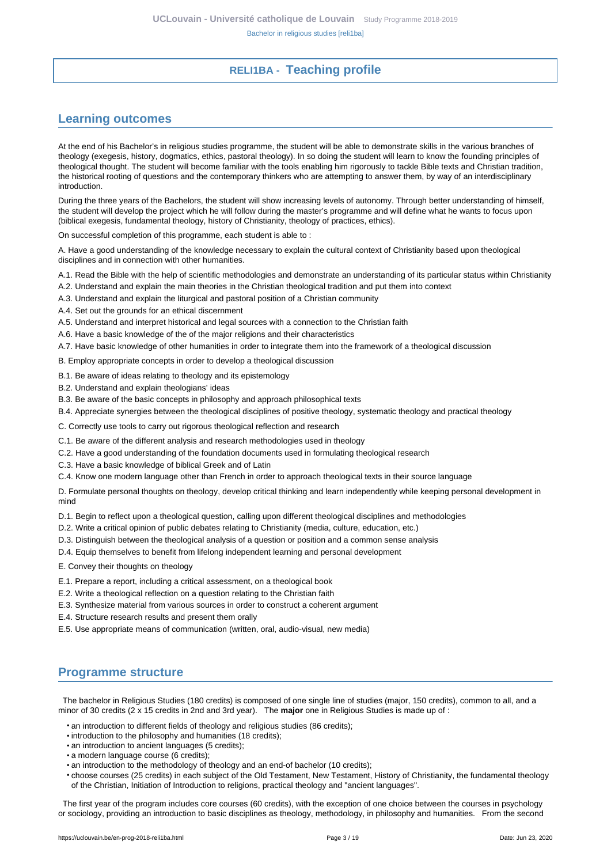# **RELI1BA - Teaching profile**

# <span id="page-2-1"></span><span id="page-2-0"></span>**Learning outcomes**

At the end of his Bachelor's in religious studies programme, the student will be able to demonstrate skills in the various branches of theology (exegesis, history, dogmatics, ethics, pastoral theology). In so doing the student will learn to know the founding principles of theological thought. The student will become familiar with the tools enabling him rigorously to tackle Bible texts and Christian tradition, the historical rooting of questions and the contemporary thinkers who are attempting to answer them, by way of an interdisciplinary introduction.

During the three years of the Bachelors, the student will show increasing levels of autonomy. Through better understanding of himself, the student will develop the project which he will follow during the master's programme and will define what he wants to focus upon (biblical exegesis, fundamental theology, history of Christianity, theology of practices, ethics).

On successful completion of this programme, each student is able to :

A. Have a good understanding of the knowledge necessary to explain the cultural context of Christianity based upon theological disciplines and in connection with other humanities.

A.1. Read the Bible with the help of scientific methodologies and demonstrate an understanding of its particular status within Christianity

- A.2. Understand and explain the main theories in the Christian theological tradition and put them into context
- A.3. Understand and explain the liturgical and pastoral position of a Christian community
- A.4. Set out the grounds for an ethical discernment
- A.5. Understand and interpret historical and legal sources with a connection to the Christian faith
- A.6. Have a basic knowledge of the of the major religions and their characteristics
- A.7. Have basic knowledge of other humanities in order to integrate them into the framework of a theological discussion

B. Employ appropriate concepts in order to develop a theological discussion

- B.1. Be aware of ideas relating to theology and its epistemology
- B.2. Understand and explain theologians' ideas
- B.3. Be aware of the basic concepts in philosophy and approach philosophical texts
- B.4. Appreciate synergies between the theological disciplines of positive theology, systematic theology and practical theology
- C. Correctly use tools to carry out rigorous theological reflection and research
- C.1. Be aware of the different analysis and research methodologies used in theology
- C.2. Have a good understanding of the foundation documents used in formulating theological research
- C.3. Have a basic knowledge of biblical Greek and of Latin
- C.4. Know one modern language other than French in order to approach theological texts in their source language

D. Formulate personal thoughts on theology, develop critical thinking and learn independently while keeping personal development in mind

- D.1. Begin to reflect upon a theological question, calling upon different theological disciplines and methodologies
- D.2. Write a critical opinion of public debates relating to Christianity (media, culture, education, etc.)
- D.3. Distinguish between the theological analysis of a question or position and a common sense analysis
- D.4. Equip themselves to benefit from lifelong independent learning and personal development
- E. Convey their thoughts on theology
- E.1. Prepare a report, including a critical assessment, on a theological book
- E.2. Write a theological reflection on a question relating to the Christian faith
- E.3. Synthesize material from various sources in order to construct a coherent argument
- E.4. Structure research results and present them orally
- E.5. Use appropriate means of communication (written, oral, audio-visual, new media)

# <span id="page-2-2"></span>**Programme structure**

 The bachelor in Religious Studies (180 credits) is composed of one single line of studies (major, 150 credits), common to all, and a minor of 30 credits (2 x 15 credits in 2nd and 3rd year). The **major** one in Religious Studies is made up of :

- an introduction to different fields of theology and religious studies (86 credits):
- introduction to the philosophy and humanities (18 credits);
- an introduction to ancient languages (5 credits);
- a modern language course (6 credits);
- an introduction to the methodology of theology and an end-of bachelor (10 credits);
- choose courses (25 credits) in each subject of the Old Testament, New Testament, History of Christianity, the fundamental theology of the Christian, Initiation of Introduction to religions, practical theology and "ancient languages".

 The first year of the program includes core courses (60 credits), with the exception of one choice between the courses in psychology or sociology, providing an introduction to basic disciplines as theology, methodology, in philosophy and humanities. From the second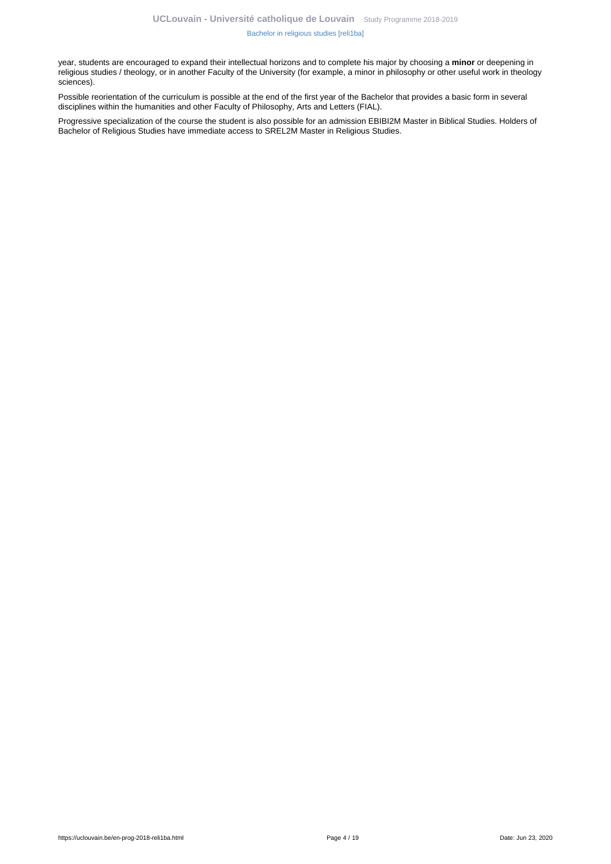#### [Bachelor in religious studies \[reli1ba\]](https://uclouvain.be/en-prog-2018-reli1ba.html)

year, students are encouraged to expand their intellectual horizons and to complete his major by choosing a **minor** or deepening in religious studies / theology, or in another Faculty of the University (for example, a minor in philosophy or other useful work in theology sciences).

Possible reorientation of the curriculum is possible at the end of the first year of the Bachelor that provides a basic form in several disciplines within the humanities and other Faculty of Philosophy, Arts and Letters (FIAL).

Progressive specialization of the course the student is also possible for an admission EBIBI2M Master in Biblical Studies. Holders of Bachelor of Religious Studies have immediate access to SREL2M Master in Religious Studies.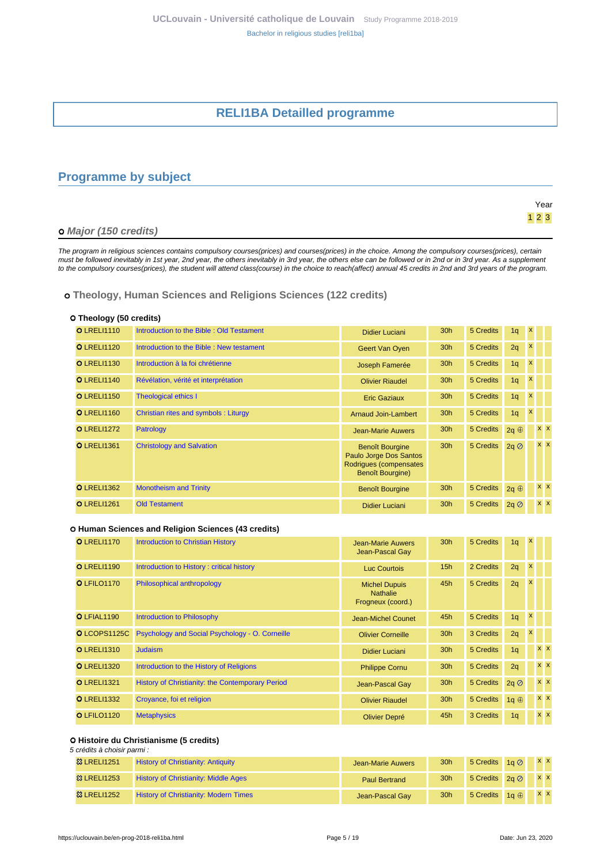# **RELI1BA Detailled programme**

# <span id="page-4-1"></span><span id="page-4-0"></span>**Programme by subject**

|                       | Year  |
|-----------------------|-------|
|                       | $123$ |
| o Major (150 credits) |       |

The program in religious sciences contains compulsory courses(prices) and courses(prices) in the choice. Among the compulsory courses(prices), certain must be followed inevitably in 1st year, 2nd year, the others inevitably in 3rd year, the others else can be followed or in 2nd or in 3rd year. As a supplement to the compulsory courses(prices), the student will attend class(course) in the choice to reach(affect) annual 45 credits in 2nd and 3rd years of the program.

### **Theology, Human Sciences and Religions Sciences (122 credits)**

#### **Theology (50 credits)**

| <b>OLRELI1110</b>  | Introduction to the Bible: Old Testament | <b>Didier Luciani</b>                                                                                 | 30 <sub>h</sub> | 5 Credits | 1q           | $\mathsf{x}$       |            |  |
|--------------------|------------------------------------------|-------------------------------------------------------------------------------------------------------|-----------------|-----------|--------------|--------------------|------------|--|
| <b>O</b> LRELI1120 | Introduction to the Bible: New testament | Geert Van Oyen                                                                                        | 30 <sub>h</sub> | 5 Credits | 2q           | X                  |            |  |
| <b>O</b> LRELI1130 | Introduction à la foi chrétienne         | Joseph Famerée                                                                                        | 30 <sub>h</sub> | 5 Credits | 1q           | X                  |            |  |
| <b>O</b> LRELI1140 | Révélation, vérité et interprétation     | <b>Olivier Riaudel</b>                                                                                | 30 <sub>h</sub> | 5 Credits | 1q           | X                  |            |  |
| <b>O</b> LRELI1150 | <b>Theological ethics I</b>              | <b>Eric Gaziaux</b>                                                                                   | 30 <sub>h</sub> | 5 Credits | 1q           | X                  |            |  |
| <b>O</b> LRELI1160 | Christian rites and symbols: Liturgy     | Arnaud Join-Lambert                                                                                   | 30 <sub>h</sub> | 5 Credits | 1q           | $\pmb{\mathsf{x}}$ |            |  |
| <b>O</b> LRELI1272 | Patrology                                | <b>Jean-Marie Auwers</b>                                                                              | 30h             | 5 Credits | 2q $\oplus$  |                    | <b>x x</b> |  |
| <b>O</b> LRELI1361 | <b>Christology and Salvation</b>         | <b>Benoît Bourgine</b><br>Paulo Jorge Dos Santos<br>Rodrigues (compensates<br><b>Benoît Bourgine)</b> | 30 <sub>h</sub> | 5 Credits | $2q \oslash$ |                    | $x \times$ |  |
| <b>O</b> LRELI1362 | <b>Monotheism and Trinity</b>            | <b>Benoît Bourgine</b>                                                                                | 30h             | 5 Credits | 2q $\oplus$  |                    | $X$ $X$    |  |
| <b>O</b> LRELI1261 | <b>Old Testament</b>                     | <b>Didier Luciani</b>                                                                                 | 30 <sub>h</sub> | 5 Credits | $2q \oslash$ |                    | $X$ $X$    |  |

#### **Human Sciences and Religion Sciences (43 credits)**

| <b>O</b> LRELI1170 | <b>Introduction to Christian History</b>         | Jean-Marie Auwers<br>Jean-Pascal Gay                         | 30 <sub>h</sub> | 5 Credits | 1q             | $\mathsf{x}$ |                |  |
|--------------------|--------------------------------------------------|--------------------------------------------------------------|-----------------|-----------|----------------|--------------|----------------|--|
| <b>O</b> LRELI1190 | Introduction to History: critical history        | Luc Courtois                                                 | 15h             | 2 Credits | 2q             | $\mathbf{x}$ |                |  |
| O LFILO1170        | Philosophical anthropology                       | <b>Michel Dupuis</b><br><b>Nathalie</b><br>Frogneux (coord.) | 45h             | 5 Credits | 2q             | X            |                |  |
| O LFIAL1190        | Introduction to Philosophy                       | Jean-Michel Counet                                           | 45h             | 5 Credits | 1q             | $\mathbf{x}$ |                |  |
| O LCOPS1125C       | Psychology and Social Psychology - O. Corneille  | <b>Olivier Corneille</b>                                     | 30h             | 3 Credits | 2q             | X            |                |  |
| <b>O</b> LRELI1310 | <b>Judaism</b>                                   | <b>Didier Luciani</b>                                        | 30h             | 5 Credits | 1q             |              | $x \mathbf{X}$ |  |
| <b>O</b> LRELI1320 | Introduction to the History of Religions         | <b>Philippe Cornu</b>                                        | 30 <sub>h</sub> | 5 Credits | 2q             |              | $X$ $X$        |  |
| <b>O</b> LRELI1321 | History of Christianity: the Contemporary Period | Jean-Pascal Gay                                              | 30h             | 5 Credits | $2q \oslash$   |              | $x \mathbf{X}$ |  |
| <b>O</b> LRELI1332 | Croyance, foi et religion                        | <b>Olivier Riaudel</b>                                       | 30 <sub>h</sub> | 5 Credits | 1q $\oplus$    |              | $x \times$     |  |
| O LFILO1120        | <b>Metaphysics</b>                               | Olivier Depré                                                | 45h             | 3 Credits | 1 <sub>q</sub> |              | $x \mathbf{X}$ |  |

#### **Histoire du Christianisme (5 credits)**

5 crédits à choisir parmi :

| <b>83 LRELI1251</b>    | <b>History of Christianity: Antiquity</b>    | Jean-Marie Auwers    | 30 <sub>h</sub> | 5 Credits $1a\oslash$  | $X$ $X$ |         |  |
|------------------------|----------------------------------------------|----------------------|-----------------|------------------------|---------|---------|--|
| <sup>3</sup> LRELI1253 | <b>History of Christianity: Middle Ages</b>  | <b>Paul Bertrand</b> | 30 <sub>h</sub> | 5 Credits $2q \oslash$ |         | $X$ $X$ |  |
| <b>&amp; LRELI1252</b> | <b>History of Christianity: Modern Times</b> | Jean-Pascal Gay      | 30 <sub>h</sub> | 5 Credits $1a \oplus$  |         | $X$ X   |  |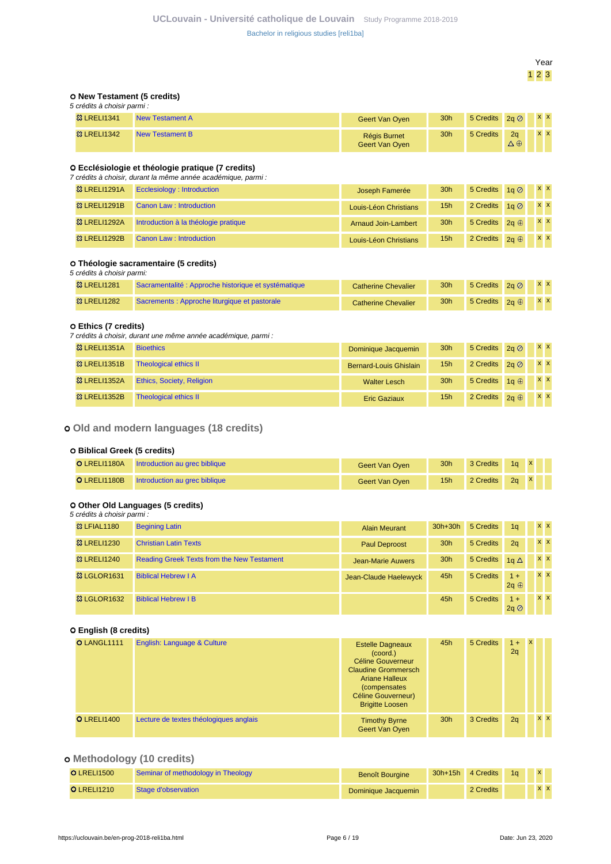Year 1 2 3

#### **New Testament (5 credits)**  $\overline{r}$  cmi $\overline{r}$  :

| 5 crédits à choisir pa |  |
|------------------------|--|
|------------------------|--|

| <b>83 LRELI1341</b> | New Testament A |                | 30 <sub>h</sub> | 5 Credits $2a \oslash$ |                 | $\mathbf{x}$ |           |  |
|---------------------|-----------------|----------------|-----------------|------------------------|-----------------|--------------|-----------|--|
|                     |                 | Geert Van Oyen |                 |                        |                 |              |           |  |
| <b>83 LRELI1342</b> | New Testament B | Régis Burnet   | 30 <sub>h</sub> | 5 Credits              | 2a              |              | <b>XX</b> |  |
|                     |                 | Geert Van Oyen |                 |                        | $\Delta \oplus$ |              |           |  |

### **Ecclésiologie et théologie pratique (7 credits)**

| 7 crédits à choisir, durant la même année académique, parmi : |                                      |                            |                 |                              |  |         |         |  |
|---------------------------------------------------------------|--------------------------------------|----------------------------|-----------------|------------------------------|--|---------|---------|--|
| <b>83 LRELI1291A</b>                                          | Ecclesiology: Introduction           | Joseph Famerée             | 30 <sub>h</sub> | 5 Credits $1q \oslash x$ x x |  |         |         |  |
| <sup>3</sup> LRELI1291B                                       | Canon Law: Introduction              | Louis-Léon Christians      | 15 <sub>h</sub> | 2 Credits $1a\oslash$        |  |         | $X$ $X$ |  |
| <b>83 LRELI1292A</b>                                          | Introduction à la théologie pratique | <b>Arnaud Join-Lambert</b> | 30 <sub>h</sub> | 5 Credits $2a \oplus$        |  | $X$ $X$ |         |  |
| 83 LRELI1292B                                                 | Canon Law: Introduction              | Louis-Léon Christians      | 15h             | 2 Credits $2a \oplus$        |  |         | $X$ $X$ |  |

### **Théologie sacramentaire (5 credits)**

5 crédits à choisir parmi:

| <b>83 LRELI1281</b> | Sacramentalité : Approche historique et systématique | <b>Catherine Chevalier</b> | 30 <sub>h</sub> | 5 Credits $2a \oslash x$ x x |  |
|---------------------|------------------------------------------------------|----------------------------|-----------------|------------------------------|--|
| <b>83 LRELI1282</b> | Sacrements : Approche liturgique et pastorale        | Catherine Chevalier        | 30 <sub>h</sub> | 5 Credits $2a \oplus x x$    |  |

### **Ethics (7 credits)**

7 crédits à choisir, durant une même année académique, parmi :

| <b>83 LRELI1351A</b>    | <b>Bioethics</b>                 | Dominique Jacquemin    | 30 <sub>h</sub> | 5 Credits $2q \oslash$   |  | $X$ $X$ |
|-------------------------|----------------------------------|------------------------|-----------------|--------------------------|--|---------|
| 83 LRELI1351B           | <b>Theological ethics II</b>     | Bernard-Louis Ghislain | 15 <sub>h</sub> | 2 Credits $2a \oslash b$ |  | $X$ $X$ |
| <b>&amp; LRELI1352A</b> | <b>Ethics, Society, Religion</b> | <b>Walter Lesch</b>    | 30h             | 5 Credits $1a \oplus$    |  | $X$ $X$ |
| <b>&amp; LRELI1352B</b> | <b>Theological ethics II</b>     | <b>Eric Gaziaux</b>    | 15h             | 2 Credits $2q \oplus$    |  | $X$ $X$ |

### **Old and modern languages (18 credits)**

### **Biblical Greek (5 credits)**

| O LRELI1180A | l Introduction au grec biblique              | Geert Van Oven        | 30 <sub>h</sub> | 3 Credits 1q X |  |  |
|--------------|----------------------------------------------|-----------------------|-----------------|----------------|--|--|
|              | O LRELI1180B   Introduction au grec biblique | <b>Geert Van Oyen</b> | 15h             | 2 Credits 2g X |  |  |

### **Other Old Languages (5 credits)**

| 5 crédits à choisir parmi : |                                                   |                          |                 |           |                         |  |                |  |
|-----------------------------|---------------------------------------------------|--------------------------|-----------------|-----------|-------------------------|--|----------------|--|
| <b>&amp;3 LFIAL1180</b>     | <b>Begining Latin</b>                             | <b>Alain Meurant</b>     | $30h+30h$       | 5 Credits | 1 <sub>a</sub>          |  | $x \mathbf{X}$ |  |
| <b>83 LRELI1230</b>         | <b>Christian Latin Texts</b>                      | <b>Paul Deproost</b>     | 30 <sub>h</sub> | 5 Credits | 2 <sub>a</sub>          |  | <b>x x</b>     |  |
| <b>83 LRELI1240</b>         | <b>Reading Greek Texts from the New Testament</b> | <b>Jean-Marie Auwers</b> | 30h             | 5 Credits | 1 $\Delta$              |  | $X$ $X$        |  |
| <b>&amp; LGLOR1631</b>      | <b>Biblical Hebrew I A</b>                        | Jean-Claude Haelewyck    | 45h             | 5 Credits | $1 +$<br>$2q \oplus$    |  | <b>x x</b>     |  |
| <b>&amp; LGLOR1632</b>      | <b>Biblical Hebrew I B</b>                        |                          | 45h             | 5 Credits | $1 +$<br>$2a$ $\oslash$ |  | $x \times$     |  |

#### **English (8 credits)**

| O LANGL1111        | English: Language & Culture            | <b>Estelle Dagneaux</b><br>$(c$ oord. $)$<br>Céline Gouverneur<br><b>Claudine Grommersch</b><br><b>Ariane Halleux</b><br><i>(compensates)</i><br>Céline Gouverneur)<br><b>Brigitte Loosen</b> | 45h             | 5 Credits | $1 +$<br>2q | $\mathbf{x}$ |         |
|--------------------|----------------------------------------|-----------------------------------------------------------------------------------------------------------------------------------------------------------------------------------------------|-----------------|-----------|-------------|--------------|---------|
| <b>O</b> LRELI1400 | Lecture de textes théologiques anglais | <b>Timothy Byrne</b><br><b>Geert Van Oyen</b>                                                                                                                                                 | 30 <sub>h</sub> | 3 Credits | 2q          |              | $X$ $X$ |

# **Methodology (10 credits)**

| <b>O</b> LRELI1500 | Seminar of methodology in Theology | <b>Benoît Bourgine</b> | 30h+15h 4 Credits | 1a |           |  |
|--------------------|------------------------------------|------------------------|-------------------|----|-----------|--|
| <b>OLRELI1210</b>  | Stage d'observation                | Dominique Jacquemin    | 2 Credits         |    | <b>XX</b> |  |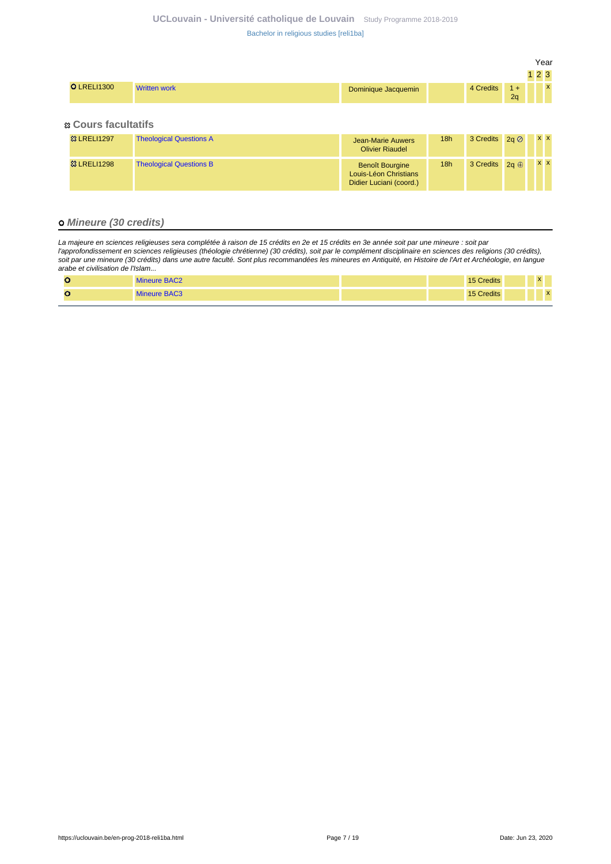| <b>O</b> LRELI1300 | <b>Written work</b> | Dominique Jacquemin | 4 Credits | $1 +$<br>2a | X |
|--------------------|---------------------|---------------------|-----------|-------------|---|
|                    |                     |                     |           |             |   |

 **Cours facultatifs**

| <b>83 LRELI1297</b> | <b>Theological Questions A</b> | Jean-Marie Auwers<br><b>Olivier Riaudel</b>                                | 18h | 3 Credits $2a \oslash$ |             | <b>XX</b> |
|---------------------|--------------------------------|----------------------------------------------------------------------------|-----|------------------------|-------------|-----------|
| <b>83 LRELI1298</b> | <b>Theological Questions B</b> | <b>Benoît Bourgine</b><br>Louis-Léon Christians<br>Didier Luciani (coord.) | 18h | 3 Credits              | $2a \oplus$ | <b>XX</b> |

### **Mineure (30 credits)**

La majeure en sciences religieuses sera complétée à raison de 15 crédits en 2e et 15 crédits en 3e année soit par une mineure : soit par l'approfondissement en sciences religieuses (théologie chrétienne) (30 crédits), soit par le complément disciplinaire en sciences des religions (30 crédits), soit par une mineure (30 crédits) dans une autre faculté. Sont plus recommandées les mineures en Antiquité, en Histoire de l'Art et Archéologie, en langue arabe et civilisation de l'Islam...

| <b>Mineure BAC2</b> | Credits<br>15C |  |              |  |
|---------------------|----------------|--|--------------|--|
| Mineure BAC3        | Credits<br>151 |  | $\mathbf{x}$ |  |

Year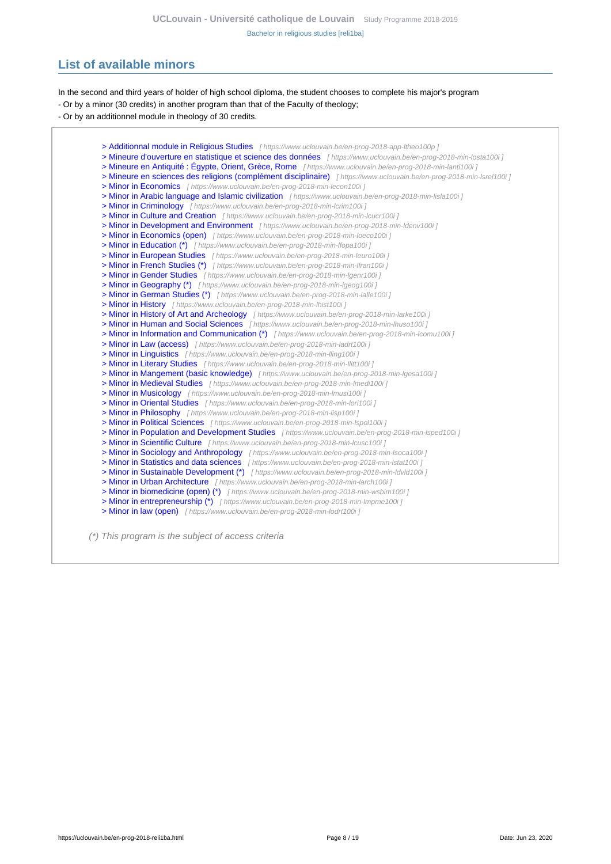# <span id="page-7-0"></span>**List of available minors**

In the second and third years of holder of high school diploma, the student chooses to complete his major's program

- Or by a minor (30 credits) in another program than that of the Faculty of theology;

- Or by an additionnel module in theology of 30 credits.

[> Additionnal module in Religious Studies](https://www.uclouvain.be/en-prog-2018-app-ltheo100p) [ https://www.uclouvain.be/en-prog-2018-app-ltheo100p ] [> Mineure d'ouverture en statistique et science des données](https://www.uclouvain.be/en-prog-2018-min-losta100i) [ https://www.uclouvain.be/en-prog-2018-min-losta100i ] [> Mineure en Antiquité : Égypte, Orient, Grèce, Rome](https://www.uclouvain.be/en-prog-2018-min-lanti100i) [ https://www.uclouvain.be/en-prog-2018-min-lanti100i ] [> Mineure en sciences des religions \(complément disciplinaire\)](https://www.uclouvain.be/en-prog-2018-min-lsrel100i) [https://www.uclouvain.be/en-prog-2018-min-lsrel100i] [> Minor in Economics](https://www.uclouvain.be/en-prog-2018-min-lecon100i) [ https://www.uclouvain.be/en-prog-2018-min-lecon100i ] [> Minor in Arabic language and Islamic civilization](https://www.uclouvain.be/en-prog-2018-min-lisla100i) [https://www.uclouvain.be/en-prog-2018-min-lisla100i] [> Minor in Criminology](https://www.uclouvain.be/en-prog-2018-min-lcrim100i) [ https://www.uclouvain.be/en-prog-2018-min-lcrim100i ] [> Minor in Culture and Creation](https://www.uclouvain.be/en-prog-2018-min-lcucr100i) [ https://www.uclouvain.be/en-prog-2018-min-lcucr100i ] [> Minor in Development and Environment](https://www.uclouvain.be/en-prog-2018-min-ldenv100i) [ https://www.uclouvain.be/en-prog-2018-min-Idenv100i ] [> Minor in Economics \(open\)](https://www.uclouvain.be/en-prog-2018-min-loeco100i) [ https://www.uclouvain.be/en-prog-2018-min-loeco100i ] [> Minor in Education \(\\*\)](https://www.uclouvain.be/en-prog-2018-min-lfopa100i) [ https://www.uclouvain.be/en-prog-2018-min-Ifopa100i j [> Minor in European Studies](https://www.uclouvain.be/en-prog-2018-min-leuro100i) [ https://www.uclouvain.be/en-prog-2018-min-leuro100i j [> Minor in French Studies \(\\*\)](https://www.uclouvain.be/en-prog-2018-min-lfran100i) [ https://www.uclouvain.be/en-prog-2018-min-Ifran100i ] [> Minor in Gender Studies](https://www.uclouvain.be/en-prog-2018-min-lgenr100i) [ https://www.uclouvain.be/en-prog-2018-min-Igenr100i ] [> Minor in Geography \(\\*\)](https://www.uclouvain.be/en-prog-2018-min-lgeog100i) [ https://www.uclouvain.be/en-prog-2018-min-Igeog100i ] [> Minor in German Studies \(\\*\)](https://www.uclouvain.be/en-prog-2018-min-lalle100i) [ https://www.uclouvain.be/en-prog-2018-min-lalle100i ] [> Minor in History](https://www.uclouvain.be/en-prog-2018-min-lhist100i) [ https://www.uclouvain.be/en-prog-2018-min-lhist100i ] [> Minor in History of Art and Archeology](https://www.uclouvain.be/en-prog-2018-min-larke100i) [ https://www.uclouvain.be/en-prog-2018-min-larke100i ] [> Minor in Human and Social Sciences](https://www.uclouvain.be/en-prog-2018-min-lhuso100i) [ https://www.uclouvain.be/en-prog-2018-min-lhuso100i ] [> Minor in Information and Communication \(\\*\)](https://www.uclouvain.be/en-prog-2018-min-lcomu100i) [ https://www.uclouvain.be/en-prog-2018-min-lcomu100i ] [> Minor in Law \(access\)](https://www.uclouvain.be/en-prog-2018-min-ladrt100i) [ https://www.uclouvain.be/en-prog-2018-min-ladrt100i ] [> Minor in Linguistics](https://www.uclouvain.be/en-prog-2018-min-lling100i) [ https://www.uclouvain.be/en-prog-2018-min-Iling100i ] [> Minor in Literary Studies](https://www.uclouvain.be/en-prog-2018-min-llitt100i) [ https://www.uclouvain.be/en-prog-2018-min-llitt100i ] [> Minor in Mangement \(basic knowledge\)](https://www.uclouvain.be/en-prog-2018-min-lgesa100i) [ https://www.uclouvain.be/en-prog-2018-min-lgesa100i ] [> Minor in Medieval Studies](https://www.uclouvain.be/en-prog-2018-min-lmedi100i) [ https://www.uclouvain.be/en-prog-2018-min-Imedi100i ] [> Minor in Musicology](https://www.uclouvain.be/en-prog-2018-min-lmusi100i) [ https://www.uclouvain.be/en-prog-2018-min-Imusi100i ] [> Minor in Oriental Studies](https://www.uclouvain.be/en-prog-2018-min-lori100i) [ https://www.uclouvain.be/en-prog-2018-min-lori100i ] [> Minor in Philosophy](https://www.uclouvain.be/en-prog-2018-min-lisp100i) [ https://www.uclouvain.be/en-prog-2018-min-lisp100i ] [> Minor in Political Sciences](https://www.uclouvain.be/en-prog-2018-min-lspol100i) [ https://www.uclouvain.be/en-prog-2018-min-lspol100i ] [> Minor in Population and Development Studies](https://www.uclouvain.be/en-prog-2018-min-lsped100i) [ https://www.uclouvain.be/en-prog-2018-min-lsped100i ] [> Minor in Scientific Culture](https://www.uclouvain.be/en-prog-2018-min-lcusc100i) [ https://www.uclouvain.be/en-prog-2018-min-lcusc100i ] [> Minor in Sociology and Anthropology](https://www.uclouvain.be/en-prog-2018-min-lsoca100i) [ https://www.uclouvain.be/en-prog-2018-min-Isoca100i ] [> Minor in Statistics and data sciences](https://www.uclouvain.be/en-prog-2018-min-lstat100i) [ https://www.uclouvain.be/en-prog-2018-min-Istat100i ] [> Minor in Sustainable Development \(\\*\)](https://www.uclouvain.be/en-prog-2018-min-ldvld100i) [ https://www.uclouvain.be/en-prog-2018-min-ldvld100i ] [> Minor in Urban Architecture](https://www.uclouvain.be/en-prog-2018-min-larch100i) [ https://www.uclouvain.be/en-prog-2018-min-larch100i ] [> Minor in biomedicine \(open\) \(\\*\)](https://www.uclouvain.be/en-prog-2018-min-wsbim100i) [ https://www.uclouvain.be/en-prog-2018-min-wsbim100i ] [> Minor in entrepreneurship \(\\*\)](https://www.uclouvain.be/en-prog-2018-min-lmpme100i) [ https://www.uclouvain.be/en-prog-2018-min-Impme100i ] [> Minor in law \(open\)](https://www.uclouvain.be/en-prog-2018-min-lodrt100i) [ https://www.uclouvain.be/en-prog-2018-min-lodrt100i ]

(\*) This program is the subject of access criteria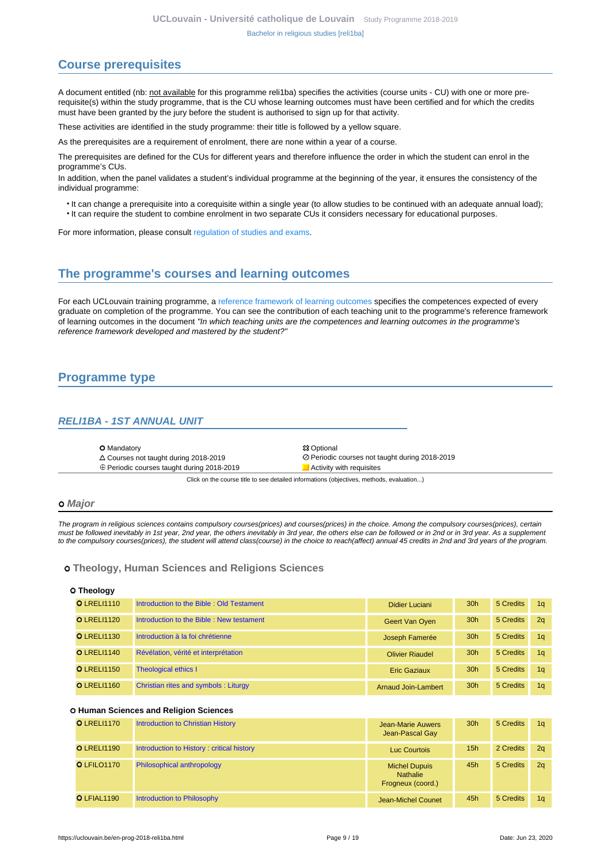# <span id="page-8-0"></span>**Course prerequisites**

A document entitled (nb: not available for this programme reli1ba) specifies the activities (course units - CU) with one or more prerequisite(s) within the study programme, that is the CU whose learning outcomes must have been certified and for which the credits must have been granted by the jury before the student is authorised to sign up for that activity.

These activities are identified in the study programme: their title is followed by a yellow square.

As the prerequisites are a requirement of enrolment, there are none within a year of a course.

The prerequisites are defined for the CUs for different years and therefore influence the order in which the student can enrol in the programme's CUs.

In addition, when the panel validates a student's individual programme at the beginning of the year, it ensures the consistency of the individual programme:

- It can change a prerequisite into a corequisite within a single year (to allow studies to be continued with an adequate annual load);
- It can require the student to combine enrolment in two separate CUs it considers necessary for educational purposes.

For more information, please consult [regulation of studies and exams.](https://uclouvain.be/en-enseignement-reglements.html)

# <span id="page-8-1"></span>**The programme's courses and learning outcomes**

For each UCLouvain training programme, a [reference framework of learning outcomes](https://uclouvain.be/en-prog-2018-reli1ba-competences_et_acquis.html) specifies the competences expected of every graduate on completion of the programme. You can see the contribution of each teaching unit to the programme's reference framework of learning outcomes in the document "In which teaching units are the competences and learning outcomes in the programme's reference framework developed and mastered by the student?"

# <span id="page-8-2"></span>**Programme type**

### <span id="page-8-3"></span>**RELI1BA - 1ST ANNUAL UNIT**

- 
- **O** Mandatory **S** Optional ⊕ Periodic courses taught during 2018-2019 Activity with requisites

Courses not taught during 2018-2019 Periodic courses not taught during 2018-2019

Click on the course title to see detailed informations (objectives, methods, evaluation...)

#### **Major**

The program in religious sciences contains compulsory courses(prices) and courses(prices) in the choice. Among the compulsory courses(prices), certain must be followed inevitably in 1st year, 2nd year, the others inevitably in 3rd year, the others else can be followed or in 2nd or in 3rd year. As a supplement to the compulsory courses(prices), the student will attend class(course) in the choice to reach(affect) annual 45 credits in 2nd and 3rd years of the program.

#### **Theology, Human Sciences and Religions Sciences**

#### **Theology**

| <b>OLRELI1110</b>  | Introduction to the Bible: Old Testament | Didier Luciani             | 30 <sub>h</sub> | 5 Credits | 1 <sub>a</sub> |
|--------------------|------------------------------------------|----------------------------|-----------------|-----------|----------------|
| <b>O</b> LRELI1120 | Introduction to the Bible: New testament | Geert Van Oyen             | 30 <sub>h</sub> | 5 Credits | 2 <sub>a</sub> |
| <b>O</b> LRELI1130 | Introduction à la foi chrétienne         | Joseph Famerée             | 30 <sub>h</sub> | 5 Credits | 1 <sub>a</sub> |
| <b>O</b> LRELI1140 | Révélation, vérité et interprétation     | <b>Olivier Riaudel</b>     | 30 <sub>h</sub> | 5 Credits | 1 <sub>a</sub> |
| <b>O</b> LRELI1150 | <b>Theological ethics I</b>              | <b>Eric Gaziaux</b>        | 30 <sub>h</sub> | 5 Credits | 1 <sub>a</sub> |
| <b>O</b> LRELI1160 | Christian rites and symbols : Liturgy    | <b>Arnaud Join-Lambert</b> | 30 <sub>h</sub> | 5 Credits | 1a             |

#### **Human Sciences and Religion Sciences**

| <b>O</b> LRELI1170 | <b>Introduction to Christian History</b>  | Jean-Marie Auwers<br>Jean-Pascal Gay                         | 30 <sub>h</sub> | 5 Credits | 1 <sub>a</sub> |
|--------------------|-------------------------------------------|--------------------------------------------------------------|-----------------|-----------|----------------|
| <b>O</b> LRELI1190 | Introduction to History: critical history | Luc Courtois                                                 | 15h             | 2 Credits | 2q             |
| O LFILO1170        | Philosophical anthropology                | <b>Michel Dupuis</b><br><b>Nathalie</b><br>Frogneux (coord.) | 45h             | 5 Credits | 2q             |
| O LFIAL1190        | Introduction to Philosophy                | Jean-Michel Counet                                           | 45h             | 5 Credits | 1q             |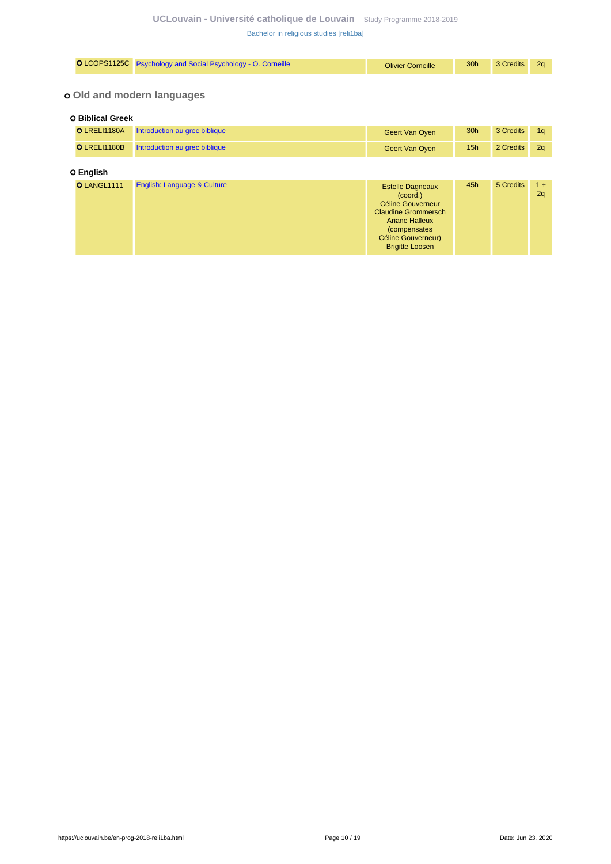| O LCOPS1125C                                          | Psychology and Social Psychology - O. Corneille | <b>Olivier Corneille</b>                                                                                                                                                                | 30h | 3 Credits | 2q          |  |  |  |  |  |
|-------------------------------------------------------|-------------------------------------------------|-----------------------------------------------------------------------------------------------------------------------------------------------------------------------------------------|-----|-----------|-------------|--|--|--|--|--|
| o Old and modern languages<br><b>O Biblical Greek</b> |                                                 |                                                                                                                                                                                         |     |           |             |  |  |  |  |  |
|                                                       |                                                 |                                                                                                                                                                                         |     |           |             |  |  |  |  |  |
| <b>O LRELI1180A</b>                                   | Introduction au grec biblique                   | Geert Van Oyen                                                                                                                                                                          | 30h | 3 Credits | 1q          |  |  |  |  |  |
| O LRELI1180B                                          | Introduction au grec biblique                   | Geert Van Oyen                                                                                                                                                                          | 15h | 2 Credits | 2q          |  |  |  |  |  |
| O English                                             |                                                 |                                                                                                                                                                                         |     |           |             |  |  |  |  |  |
| O LANGL1111                                           | English: Language & Culture                     | <b>Estelle Dagneaux</b><br>(coord.)<br><b>Céline Gouverneur</b><br><b>Claudine Grommersch</b><br><b>Ariane Halleux</b><br>(compensates)<br>Céline Gouverneur)<br><b>Brigitte Loosen</b> | 45h | 5 Credits | $1 +$<br>2q |  |  |  |  |  |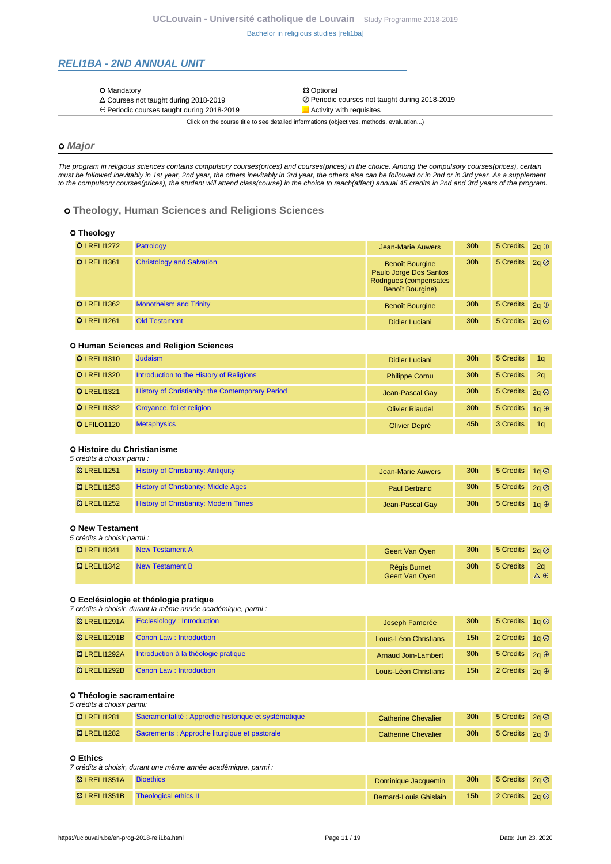## <span id="page-10-0"></span>**RELI1BA - 2ND ANNUAL UNIT**

| <b>O</b> Mandatory                                | <b>83 Optional</b>                             |
|---------------------------------------------------|------------------------------------------------|
| $\triangle$ Courses not taught during 2018-2019   | ⊘ Periodic courses not taught during 2018-2019 |
| $\oplus$ Periodic courses taught during 2018-2019 | Activity with requisites                       |
|                                                   |                                                |

Click on the course title to see detailed informations (objectives, methods, evaluation...)

# **Major**

The program in religious sciences contains compulsory courses(prices) and courses(prices) in the choice. Among the compulsory courses(prices), certain must be followed inevitably in 1st year, 2nd year, the others inevitably in 3rd year, the others else can be followed or in 2nd or in 3rd year. As a supplement to the compulsory courses(prices), the student will attend class(course) in the choice to reach(affect) annual 45 credits in 2nd and 3rd years of the program.

### **Theology, Human Sciences and Religions Sciences**

| O Theology         |                                  |
|--------------------|----------------------------------|
| <b>O</b> LRELI1272 | Patrology                        |
| <b>O</b> LRELI1361 | <b>Christology and Salvation</b> |

|                    |                               | Paulo Jorge Dos Santos<br>Rodrigues (compensates<br><b>Benoît Bourgine)</b> |                 |                        |  |
|--------------------|-------------------------------|-----------------------------------------------------------------------------|-----------------|------------------------|--|
| <b>O</b> LRELI1362 | <b>Monotheism and Trinity</b> | <b>Benoît Bourgine</b>                                                      | 30 <sub>h</sub> | 5 Credits $2a \oplus$  |  |
| <b>O</b> LRELI1261 | <b>Old Testament</b>          | Didier Luciani                                                              | 30 <sub>h</sub> | 5 Credits $2a \oslash$ |  |

Jean-Marie Auwers 30h 5 Credits  $2q \oplus$ 

30h 5 Credits  $2q \oslash$ 

**Benoît Bourgine** 

#### **Human Sciences and Religion Sciences**

| <b>O</b> LRELI1310 | Judaism                                          | Didier Luciani         | 30 <sub>h</sub> | 5 Credits              | 1 <sub>a</sub> |
|--------------------|--------------------------------------------------|------------------------|-----------------|------------------------|----------------|
| <b>O</b> LRELI1320 | Introduction to the History of Religions         | <b>Philippe Cornu</b>  | 30 <sub>h</sub> | 5 Credits              | 2 <sub>a</sub> |
| <b>O</b> LRELI1321 | History of Christianity: the Contemporary Period | Jean-Pascal Gay        | 30 <sub>h</sub> | 5 Credits $2a \oslash$ |                |
| <b>O</b> LRELI1332 | Croyance, foi et religion                        | <b>Olivier Riaudel</b> | 30 <sub>h</sub> | 5 Credits $1a \oplus$  |                |
| O LFILO1120        | <b>Metaphysics</b>                               | Olivier Depré          | 45h             | 3 Credits              | 1 <sub>a</sub> |

#### **Histoire du Christianisme** 5 crédits à choisir parmi :

| o orcano a choisir parini . |                                              |                      |                 |                        |             |  |  |
|-----------------------------|----------------------------------------------|----------------------|-----------------|------------------------|-------------|--|--|
| <b>83 LRELI1251</b>         | <b>History of Christianity: Antiquity</b>    | Jean-Marie Auwers    | 30 <sub>h</sub> | 5 Credits $1a \oslash$ |             |  |  |
| <b>&amp; LRELI1253</b>      | <b>History of Christianity: Middle Ages</b>  | <b>Paul Bertrand</b> | 30 <sub>h</sub> | 5 Credits $2q \oslash$ |             |  |  |
| <b>&amp; LRELI1252</b>      | <b>History of Christianity: Modern Times</b> | Jean-Pascal Gay      | 30 <sub>h</sub> | 5 Credits              | 1a $\oplus$ |  |  |

#### **New Testament**

| 5 crédits à choisir parmi : |                        |                                       |                 |                        |                       |
|-----------------------------|------------------------|---------------------------------------|-----------------|------------------------|-----------------------|
| <b>23 LRELI1341</b>         | <b>New Testament A</b> | Geert Van Oyen                        | 30 <sub>h</sub> | 5 Credits $2q \oslash$ |                       |
| <b>&amp; LRELI1342</b>      | New Testament B        | <b>Régis Burnet</b><br>Geert Van Oyen | 30 <sub>h</sub> | 5 Credits              | 2a<br>$\Delta \oplus$ |

#### **Ecclésiologie et théologie pratique**

7 crédits à choisir, durant la même année académique, parmi :

| <b>&amp; LRELI1291A</b> | Ecclesiology: Introduction           | Joseph Famerée             | 30 <sub>h</sub> | 5 Credits 1g Ø         |  |
|-------------------------|--------------------------------------|----------------------------|-----------------|------------------------|--|
| <b>83 LRELI1291B</b>    | Canon Law: Introduction              | Louis-Léon Christians      | 15 <sub>h</sub> | 2 Credits $1a \oslash$ |  |
| <b>&amp; LRELI1292A</b> | Introduction à la théologie pratique | <b>Arnaud Join-Lambert</b> | 30 <sub>h</sub> | 5 Credits $2q \oplus$  |  |
| 83 LRELI1292B           | Canon Law: Introduction              | Louis-Léon Christians      | 15 <sub>h</sub> | 2 Credits $2a \oplus$  |  |

#### **Théologie sacramentaire** 5 crédits à choisir parmi:

| <b>83 LRELI1281</b> | Sacramentalité : Approche historique et systématique | <b>Catherine Chevalier</b> | 30 <sub>h</sub> | 5 Credits $2a \oslash$ |  |
|---------------------|------------------------------------------------------|----------------------------|-----------------|------------------------|--|
| <b>83 LRELI1282</b> | Sacrements : Approche liturgique et pastorale        | <b>Catherine Chevalier</b> | 30h             | 5 Credits $2a \oplus$  |  |

### **Ethics**

7 crédits à choisir, durant une même année académique, parmi :

| <b>&amp; LRELI1351A</b> | <b>Bioethics</b>      | Dominique Jacquemin           | 30 <sub>h</sub> | 5 Credits $2a \oslash$ |  |
|-------------------------|-----------------------|-------------------------------|-----------------|------------------------|--|
| <b>83 LRELI1351B</b>    | Theological ethics II | <b>Bernard-Louis Ghislain</b> | 15h             | 2 Credits $2a \oslash$ |  |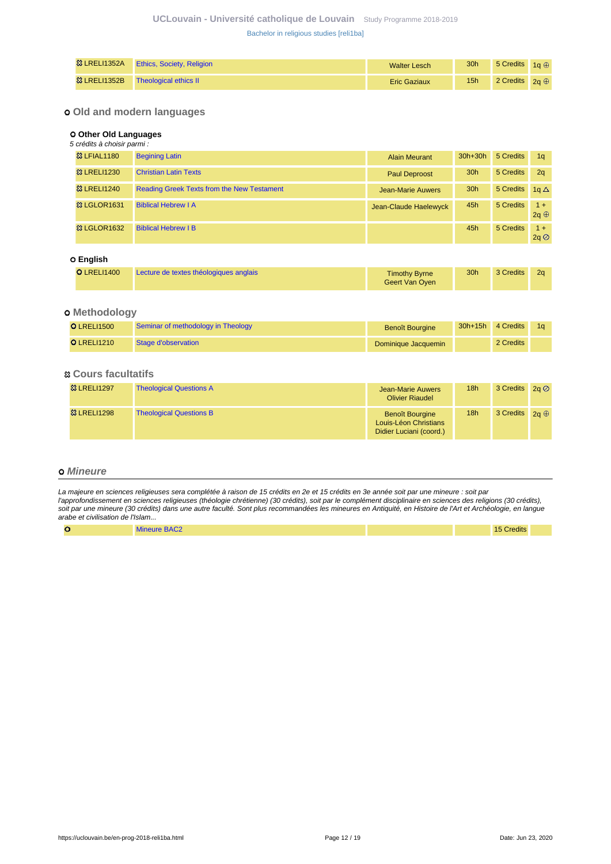| <b>惢 LRELI1352A</b> | <b>Ethics, Society, Religion</b> | <b>Walter Lesch</b> | 30 <sub>h</sub> | 5 Credits $1a \oplus$ |  |
|---------------------|----------------------------------|---------------------|-----------------|-----------------------|--|
| <b>惢 LRELI1352B</b> | Theological ethics II            | <b>Eric Gaziaux</b> | 15 <sub>h</sub> | 2 Credits $2a \oplus$ |  |

## **Old and modern languages**

#### **Other Old Languages**

| 5 crédits à choisir parmi : |                                                   |                          |                 |           |                      |
|-----------------------------|---------------------------------------------------|--------------------------|-----------------|-----------|----------------------|
| <b>&amp;3 LFIAL1180</b>     | <b>Begining Latin</b>                             | <b>Alain Meurant</b>     | $30h+30h$       | 5 Credits | 1 <sub>q</sub>       |
| <sup>3</sup> LRELI1230      | <b>Christian Latin Texts</b>                      | Paul Deproost            | 30 <sub>h</sub> | 5 Credits | 2q                   |
| <sup>3</sup> LRELI1240      | <b>Reading Greek Texts from the New Testament</b> | <b>Jean-Marie Auwers</b> | 30 <sub>h</sub> | 5 Credits | 1a $\Delta$          |
| <b>&amp; LGLOR1631</b>      | <b>Biblical Hebrew I A</b>                        | Jean-Claude Haelewyck    | 45h             | 5 Credits | $1 +$<br>$2q \oplus$ |
| <b>&amp; LGLOR1632</b>      | <b>Biblical Hebrew I B</b>                        |                          | 45h             | 5 Credits | $1 +$<br>2q          |
| O English                   |                                                   |                          |                 |           |                      |

| <b>O</b> LRELI1400 | Lecture de textes théologiques anglais | <b>Timothy Byrne</b><br>Geert Van Oyen | 30 <sub>h</sub> | 3 Credits | 2a |
|--------------------|----------------------------------------|----------------------------------------|-----------------|-----------|----|
|--------------------|----------------------------------------|----------------------------------------|-----------------|-----------|----|

## **Methodology**

| <b>OLRELI1500</b>  | Seminar of methodology in Theology | <b>Benoît Bourgine</b> | $30h+15h$ | 4 Credits |  |
|--------------------|------------------------------------|------------------------|-----------|-----------|--|
| <b>O</b> LRELI1210 | Stage d'observation                | Dominique Jacquemin    |           | 2 Credits |  |

### **Cours facultatifs**

| <b>&amp; LRELI1297</b> | <b>Theological Questions A</b> | Jean-Marie Auwers<br><b>Olivier Riaudel</b>                                | 18h | 3 Credits $2a \oslash$ |  |
|------------------------|--------------------------------|----------------------------------------------------------------------------|-----|------------------------|--|
| <b>83 LRELI1298</b>    | <b>Theological Questions B</b> | <b>Benoît Bourgine</b><br>Louis-Léon Christians<br>Didier Luciani (coord.) | 18h | 3 Credits $2a \oplus$  |  |

### **Mineure**

La majeure en sciences religieuses sera complétée à raison de 15 crédits en 2e et 15 crédits en 3e année soit par une mineure : soit par l'approfondissement en sciences religieuses (théologie chrétienne) (30 crédits), soit par le complément disciplinaire en sciences des religions (30 crédits), soit par une mineure (30 crédits) dans une autre faculté. Sont plus recommandées les mineures en Antiquité, en Histoire de l'Art et Archéologie, en langue arabe et civilisation de l'Islam...

| Mineure BAC?<br>ີ |  | $- - -$<br>$\cdots$<br><sup>15</sup> Credits . |  |
|-------------------|--|------------------------------------------------|--|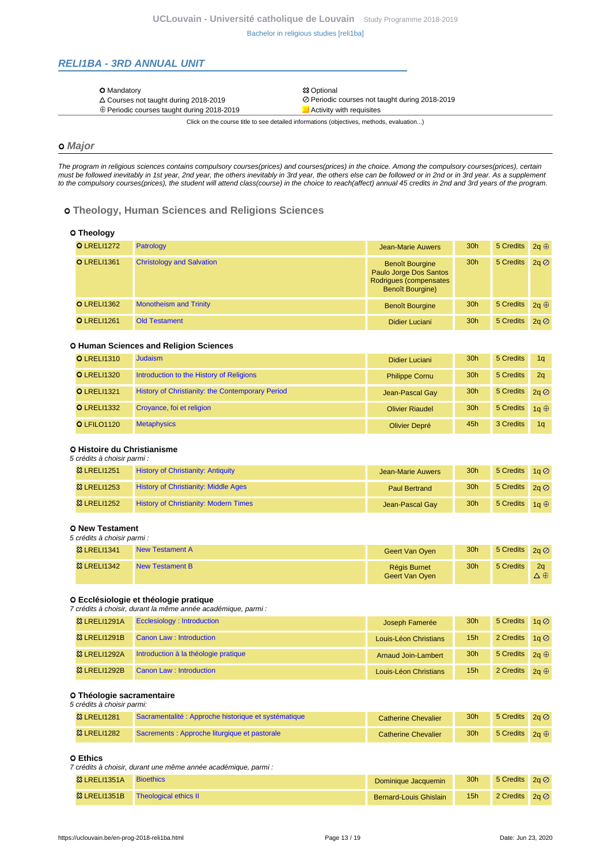## <span id="page-12-0"></span>**RELI1BA - 3RD ANNUAL UNIT**

| <b>83 Optional</b><br><b>O</b> Mandatory                                                          |  |
|---------------------------------------------------------------------------------------------------|--|
| ⊘ Periodic courses not taught during 2018-2019<br>$\triangle$ Courses not taught during 2018-2019 |  |
| ⊕ Periodic courses taught during 2018-2019<br>Activity with requisites                            |  |

Click on the course title to see detailed informations (objectives, methods, evaluation...)

# **Major**

The program in religious sciences contains compulsory courses(prices) and courses(prices) in the choice. Among the compulsory courses(prices), certain must be followed inevitably in 1st year, 2nd year, the others inevitably in 3rd year, the others else can be followed or in 2nd or in 3rd year. As a supplement to the compulsory courses(prices), the student will attend class(course) in the choice to reach(affect) annual 45 credits in 2nd and 3rd years of the program.

### **Theology, Human Sciences and Religions Sciences**

| O Theology         |                                  |                                                                                                       |                 |           |             |
|--------------------|----------------------------------|-------------------------------------------------------------------------------------------------------|-----------------|-----------|-------------|
| <b>O</b> LRELI1272 | Patrology                        | <b>Jean-Marie Auwers</b>                                                                              | 30h             | 5 Credits | $2a \oplus$ |
| <b>O</b> LRELI1361 | <b>Christology and Salvation</b> | <b>Benoît Bourgine</b><br>Paulo Jorge Dos Santos<br>Rodrigues (compensates<br><b>Benoît Bourgine)</b> | 30 <sub>h</sub> | 5 Credits | 2a          |
| <b>O</b> LRELI1362 | <b>Monotheism and Trinity</b>    | <b>Benoît Bourgine</b>                                                                                | 30 <sub>h</sub> | 5 Credits | $2a \oplus$ |
| <b>O</b> LRELI1261 | <b>Old Testament</b>             | Didier Luciani                                                                                        | 30 <sub>h</sub> | 5 Credits | 2a          |

#### **Human Sciences and Religion Sciences**

| <b>O</b> LRELI1310 | <b>Judaism</b>                                   | Didier Luciani         | 30 <sub>h</sub> | 5 Credits             | 1 <sub>a</sub> |
|--------------------|--------------------------------------------------|------------------------|-----------------|-----------------------|----------------|
| <b>O</b> LRELI1320 | Introduction to the History of Religions         | <b>Philippe Cornu</b>  | 30 <sub>h</sub> | 5 Credits             | 2q             |
| <b>O</b> LRELI1321 | History of Christianity: the Contemporary Period | Jean-Pascal Gay        | 30 <sub>h</sub> | 5 Credits 2g 2        |                |
| <b>O</b> LRELI1332 | Croyance, foi et religion                        | <b>Olivier Riaudel</b> | 30 <sub>h</sub> | 5 Credits $1a \oplus$ |                |
| O LFILO1120        | <b>Metaphysics</b>                               | Olivier Depré          | 45h             | 3 Credits             | 1 <sub>a</sub> |

#### **Histoire du Christianisme** 5 crédits à choisir parmi :

| <b>83 LRELI1251</b>     | <b>History of Christianity: Antiquity</b>    | Jean-Marie Auwers    | 30 <sub>h</sub> | 5 Credits $1a \oslash$ |             |
|-------------------------|----------------------------------------------|----------------------|-----------------|------------------------|-------------|
| <b>&amp; LRELI1253</b>  | <b>History of Christianity: Middle Ages</b>  | <b>Paul Bertrand</b> | 30 <sub>h</sub> | 5 Credits $2q \oslash$ |             |
| <b>&amp;3 LRELI1252</b> | <b>History of Christianity: Modern Times</b> | Jean-Pascal Gay      | 30 <sub>h</sub> | 5 Credits              | 1a $\oplus$ |

#### **New Testament**

| 5 crédits à choisir parmi : |                 |                                |                 |                        |                       |
|-----------------------------|-----------------|--------------------------------|-----------------|------------------------|-----------------------|
| <b>23 LRELI1341</b>         | New Testament A | Geert Van Oyen                 | 30 <sub>h</sub> | 5 Credits $2q \oslash$ |                       |
| <sup>3</sup> LRELI1342      | New Testament B | Régis Burnet<br>Geert Van Oyen | 30 <sub>h</sub> | 5 Credits              | 2a<br>$\Delta \oplus$ |

#### **Ecclésiologie et théologie pratique**

7 crédits à choisir, durant la même année académique, parmi :

| <b>&amp; LRELI1291A</b> | Ecclesiology: Introduction           | Joseph Famerée             | 30 <sub>h</sub> | 5 Credits $1a \oslash$ |  |
|-------------------------|--------------------------------------|----------------------------|-----------------|------------------------|--|
| <b>83 LRELI1291B</b>    | Canon Law: Introduction              | Louis-Léon Christians      | 15 <sub>h</sub> | 2 Credits $1a \oslash$ |  |
| <b>&amp; LRELI1292A</b> | Introduction à la théologie pratique | <b>Arnaud Join-Lambert</b> | 30 <sub>h</sub> | 5 Credits $2q \oplus$  |  |
| 83 LRELI1292B           | Canon Law: Introduction              | Louis-Léon Christians      | 15 <sub>h</sub> | 2 Credits $2a \oplus$  |  |

#### **Théologie sacramentaire** 5 crédits à choisir parmi:

| <b>83 LRELI1281</b> | Sacramentalité : Approche historique et systématique | <b>Catherine Chevalier</b> | 30 <sub>h</sub> | 5 Credits $2a \oslash$ |  |
|---------------------|------------------------------------------------------|----------------------------|-----------------|------------------------|--|
| <b>83 LRELI1282</b> | Sacrements : Approche liturgique et pastorale        | <b>Catherine Chevalier</b> | 30h             | 5 Credits $2a \oplus$  |  |

#### **Ethics**

7 crédits à choisir, durant une même année académique, parmi :

| <b>惢 LRELI1351A</b> | <b>Bioethics</b>                              | Dominique Jacquemin    | 30 <sub>h</sub> | 5 Credits $2a \oslash$ |  |
|---------------------|-----------------------------------------------|------------------------|-----------------|------------------------|--|
|                     | <sup>33</sup> LRELI1351B Theological ethics Ⅱ | Bernard-Louis Ghislain | 15 <sub>h</sub> | 2 Credits $2a\oslash$  |  |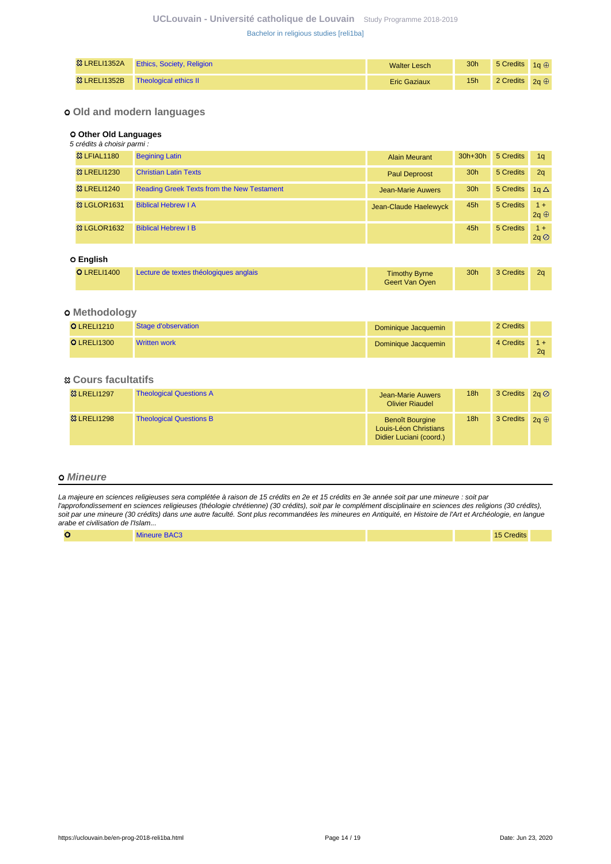| <b>惢 LRELI1352A</b> | <b>Ethics, Society, Religion</b> | <b>Walter Lesch</b> | 30 <sub>h</sub> | 5 Credits $1a \oplus$ |  |
|---------------------|----------------------------------|---------------------|-----------------|-----------------------|--|
| <b>惢 LRELI1352B</b> | Theological ethics II            | <b>Eric Gaziaux</b> | 15 <sub>h</sub> | 2 Credits $2a \oplus$ |  |

## **Old and modern languages**

### **Other Old Languages**

| 5 crédits à choisir parmi : |                                                   |                       |                 |           |                      |
|-----------------------------|---------------------------------------------------|-----------------------|-----------------|-----------|----------------------|
| <b>&amp;3 LFIAL1180</b>     | <b>Begining Latin</b>                             | <b>Alain Meurant</b>  | $30h+30h$       | 5 Credits | 1 <sub>q</sub>       |
| <sup>3</sup> LRELI1230      | <b>Christian Latin Texts</b>                      | <b>Paul Deproost</b>  | 30 <sub>h</sub> | 5 Credits | 2q                   |
| <sup>3</sup> LRELI1240      | <b>Reading Greek Texts from the New Testament</b> | Jean-Marie Auwers     | 30 <sub>h</sub> | 5 Credits | 1a $\Delta$          |
| <b>&amp; LGLOR1631</b>      | <b>Biblical Hebrew I A</b>                        | Jean-Claude Haelewyck | 45h             | 5 Credits | $1 +$<br>$2q \oplus$ |
| <b>&amp; LGLOR1632</b>      | <b>Biblical Hebrew I B</b>                        |                       | 45h             | 5 Credits | $1 +$<br>2q          |
| O English                   |                                                   |                       |                 |           |                      |

| <b>O</b> LRELI1400 | Lecture de textes théologiques anglais | <b>Timothy Byrne</b><br>Geert Van Oyen | 30 <sub>h</sub> | 3 Credits | 2a |
|--------------------|----------------------------------------|----------------------------------------|-----------------|-----------|----|
|--------------------|----------------------------------------|----------------------------------------|-----------------|-----------|----|

## **Methodology**

| <b>O</b> LRELI1210 | Stage d'observation | Dominique Jacquemin | 2 Credits |                |
|--------------------|---------------------|---------------------|-----------|----------------|
| <b>O</b> LRELI1300 | <b>Written work</b> | Dominique Jacquemin | 4 Credits | 2 <sub>0</sub> |

## **Cours facultatifs**

| <b>83 LRELI1297</b> | <b>Theological Questions A</b> | <b>Jean-Marie Auwers</b><br><b>Olivier Riaudel</b>                         | 18h             | 3 Credits $2q \oslash$ |  |
|---------------------|--------------------------------|----------------------------------------------------------------------------|-----------------|------------------------|--|
| <b>83 LRELI1298</b> | <b>Theological Questions B</b> | <b>Benoît Bourgine</b><br>Louis-Léon Christians<br>Didier Luciani (coord.) | 18 <sub>h</sub> | 3 Credits $2a \oplus$  |  |

### **Mineure**

La majeure en sciences religieuses sera complétée à raison de 15 crédits en 2e et 15 crédits en 3e année soit par une mineure : soit par l'approfondissement en sciences religieuses (théologie chrétienne) (30 crédits), soit par le complément disciplinaire en sciences des religions (30 crédits), soit par une mineure (30 crédits) dans une autre faculté. Sont plus recommandées les mineures en Antiquité, en Histoire de l'Art et Archéologie, en langue arabe et civilisation de l'Islam...

| $\overline{\phantom{a}}$<br>$\tilde{\phantom{a}}$ | <b>Mineure BAC3</b> |  | <b>15 Credits</b> |  |
|---------------------------------------------------|---------------------|--|-------------------|--|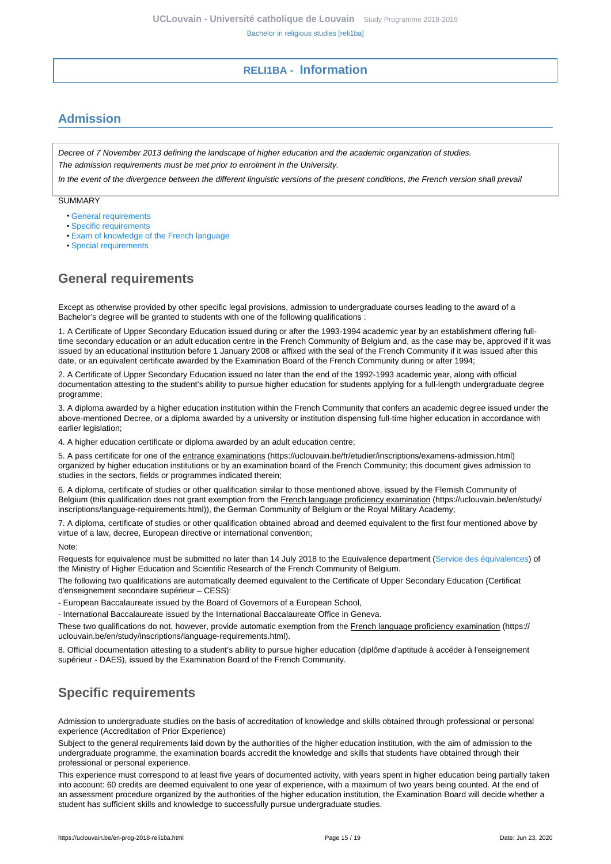# **RELI1BA - Information**

# <span id="page-14-1"></span><span id="page-14-0"></span>**Admission**

Decree of 7 November 2013 defining the landscape of higher education and the academic organization of studies. The admission requirements must be met prior to enrolment in the University.

In the event of the divergence between the different linguistic versions of the present conditions, the French version shall prevail

SUMMARY

- [General requirements](#page-14-2)
- [Specific requirements](#page-14-3)
- [Exam of knowledge of the French language](#page-15-0)
- [Special requirements](#page-15-1)

# <span id="page-14-2"></span>**General requirements**

Except as otherwise provided by other specific legal provisions, admission to undergraduate courses leading to the award of a Bachelor's degree will be granted to students with one of the following qualifications :

1. A Certificate of Upper Secondary Education issued during or after the 1993-1994 academic year by an establishment offering fulltime secondary education or an adult education centre in the French Community of Belgium and, as the case may be, approved if it was issued by an educational institution before 1 January 2008 or affixed with the seal of the French Community if it was issued after this date, or an equivalent certificate awarded by the Examination Board of the French Community during or after 1994;

2. A Certificate of Upper Secondary Education issued no later than the end of the 1992-1993 academic year, along with official documentation attesting to the student's ability to pursue higher education for students applying for a full-length undergraduate degree programme;

3. A diploma awarded by a higher education institution within the French Community that confers an academic degree issued under the above-mentioned Decree, or a diploma awarded by a university or institution dispensing full-time higher education in accordance with earlier legislation;

4. A higher education certificate or diploma awarded by an adult education centre;

5. A pass certificate for one of the entrance examinations (https://uclouvain.be/fr/etudier/inscriptions/examens-admission.html) organized by higher education institutions or by an examination board of the French Community; this document gives admission to studies in the sectors, fields or programmes indicated therein;

6. A diploma, certificate of studies or other qualification similar to those mentioned above, issued by the Flemish Community of Belgium (this qualification does not grant exemption from the French language proficiency examination (https://uclouvain.be/en/study/ inscriptions/language-requirements.html)), the German Community of Belgium or the Royal Military Academy;

7. A diploma, certificate of studies or other qualification obtained abroad and deemed equivalent to the first four mentioned above by virtue of a law, decree, European directive or international convention;

Note:

Requests for equivalence must be submitted no later than 14 July 2018 to the Equivalence department [\(Service des équivalences](http://www.equivalences.cfwb.be/)) of the Ministry of Higher Education and Scientific Research of the French Community of Belgium.

The following two qualifications are automatically deemed equivalent to the Certificate of Upper Secondary Education (Certificat d'enseignement secondaire supérieur – CESS):

- European Baccalaureate issued by the Board of Governors of a European School,

- International Baccalaureate issued by the International Baccalaureate Office in Geneva.

These two qualifications do not, however, provide automatic exemption from the French language proficiency examination (https:// uclouvain.be/en/study/inscriptions/language-requirements.html).

8. Official documentation attesting to a student's ability to pursue higher education (diplôme d'aptitude à accéder à l'enseignement supérieur - DAES), issued by the Examination Board of the French Community.

# <span id="page-14-3"></span>**Specific requirements**

Admission to undergraduate studies on the basis of accreditation of knowledge and skills obtained through professional or personal experience (Accreditation of Prior Experience)

Subject to the general requirements laid down by the authorities of the higher education institution, with the aim of admission to the undergraduate programme, the examination boards accredit the knowledge and skills that students have obtained through their professional or personal experience.

This experience must correspond to at least five years of documented activity, with years spent in higher education being partially taken into account: 60 credits are deemed equivalent to one year of experience, with a maximum of two years being counted. At the end of an assessment procedure organized by the authorities of the higher education institution, the Examination Board will decide whether a student has sufficient skills and knowledge to successfully pursue undergraduate studies.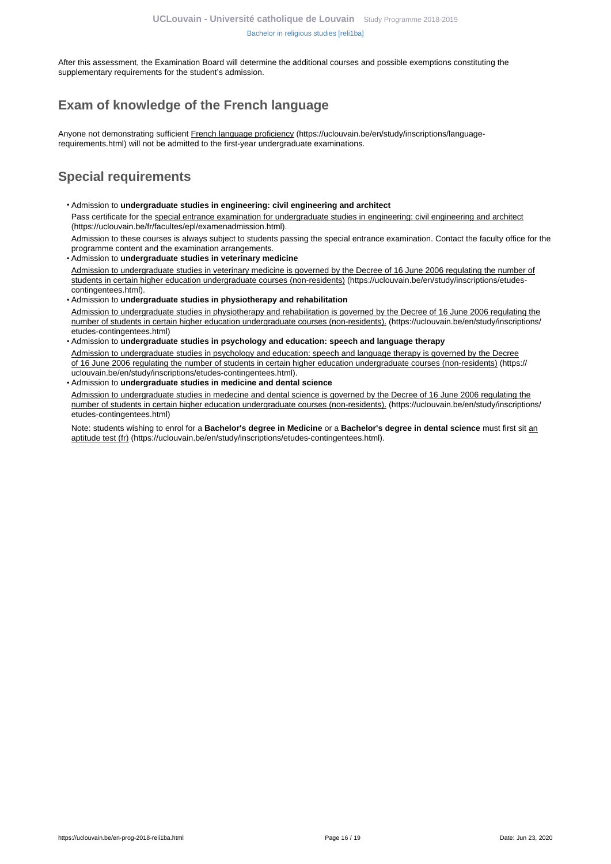After this assessment, the Examination Board will determine the additional courses and possible exemptions constituting the supplementary requirements for the student's admission.

# <span id="page-15-0"></span>**Exam of knowledge of the French language**

Anyone not demonstrating sufficient French language proficiency (https://uclouvain.be/en/study/inscriptions/languagerequirements.html) will not be admitted to the first-year undergraduate examinations.

# <span id="page-15-1"></span>**Special requirements**

- Admission to **undergraduate studies in engineering: civil engineering and architect** Pass certificate for the special entrance examination for undergraduate studies in engineering: civil engineering and architect (https://uclouvain.be/fr/facultes/epl/examenadmission.html).
- Admission to these courses is always subject to students passing the special entrance examination. Contact the faculty office for the programme content and the examination arrangements.
- Admission to **undergraduate studies in veterinary medicine**  Admission to undergraduate studies in veterinary medicine is governed by the Decree of 16 June 2006 regulating the number of students in certain higher education undergraduate courses (non-residents) (https://uclouvain.be/en/study/inscriptions/etudescontingentees.html).
- Admission to **undergraduate studies in physiotherapy and rehabilitation** Admission to undergraduate studies in physiotherapy and rehabilitation is governed by the Decree of 16 June 2006 regulating the number of students in certain higher education undergraduate courses (non-residents). (https://uclouvain.be/en/study/inscriptions/ etudes-contingentees.html)
- Admission to **undergraduate studies in psychology and education: speech and language therapy** Admission to undergraduate studies in psychology and education: speech and language therapy is governed by the Decree of 16 June 2006 regulating the number of students in certain higher education undergraduate courses (non-residents) (https:// uclouvain.be/en/study/inscriptions/etudes-contingentees.html).
- Admission to **undergraduate studies in medicine and dental science**

Admission to undergraduate studies in medecine and dental science is governed by the Decree of 16 June 2006 regulating the number of students in certain higher education undergraduate courses (non-residents). (https://uclouvain.be/en/study/inscriptions/ etudes-contingentees.html)

Note: students wishing to enrol for a **Bachelor's degree in Medicine** or a **Bachelor's degree in dental science** must first sit an aptitude test (fr) (https://uclouvain.be/en/study/inscriptions/etudes-contingentees.html).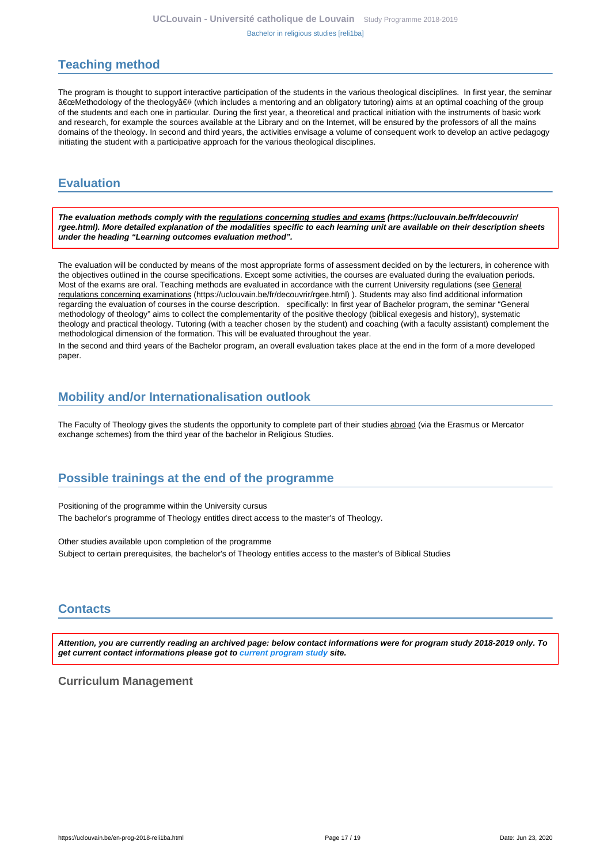# <span id="page-16-0"></span>**Teaching method**

The program is thought to support interactive participation of the students in the various theological disciplines. In first year, the seminar "Methodology of the theologyâ€# (which includes a mentoring and an obligatory tutoring) aims at an optimal coaching of the group of the students and each one in particular. During the first year, a theoretical and practical initiation with the instruments of basic work and research, for example the sources available at the Library and on the Internet, will be ensured by the professors of all the mains domains of the theology. In second and third years, the activities envisage a volume of consequent work to develop an active pedagogy initiating the student with a participative approach for the various theological disciplines.

# <span id="page-16-1"></span>**Evaluation**

**The evaluation methods comply with the regulations concerning studies and exams (https://uclouvain.be/fr/decouvrir/ rgee.html). More detailed explanation of the modalities specific to each learning unit are available on their description sheets under the heading "Learning outcomes evaluation method".**

The evaluation will be conducted by means of the most appropriate forms of assessment decided on by the lecturers, in coherence with the objectives outlined in the course specifications. Except some activities, the courses are evaluated during the evaluation periods. Most of the exams are oral. Teaching methods are evaluated in accordance with the current University regulations (see General regulations concerning examinations (https://uclouvain.be/fr/decouvrir/rgee.html) ). Students may also find additional information regarding the evaluation of courses in the course description. specifically: In first year of Bachelor program, the seminar "General methodology of theology" aims to collect the complementarity of the positive theology (biblical exegesis and history), systematic theology and practical theology. Tutoring (with a teacher chosen by the student) and coaching (with a faculty assistant) complement the methodological dimension of the formation. This will be evaluated throughout the year.

In the second and third years of the Bachelor program, an overall evaluation takes place at the end in the form of a more developed paper.

# <span id="page-16-2"></span>**Mobility and/or Internationalisation outlook**

The Faculty of Theology gives the students the opportunity to complete part of their studies abroad (via the Erasmus or Mercator exchange schemes) from the third year of the bachelor in Religious Studies.

# <span id="page-16-3"></span>**Possible trainings at the end of the programme**

Positioning of the programme within the University cursus The bachelor's programme of Theology entitles direct access to the master's of Theology.

Other studies available upon completion of the programme Subject to certain prerequisites, the bachelor's of Theology entitles access to the master's of Biblical Studies

# <span id="page-16-4"></span>**Contacts**

**Attention, you are currently reading an archived page: below contact informations were for program study 2018-2019 only. To get current contact informations please got to [current program study](https://uclouvain.be/fr/catalogue-formations) site.**

## **Curriculum Management**